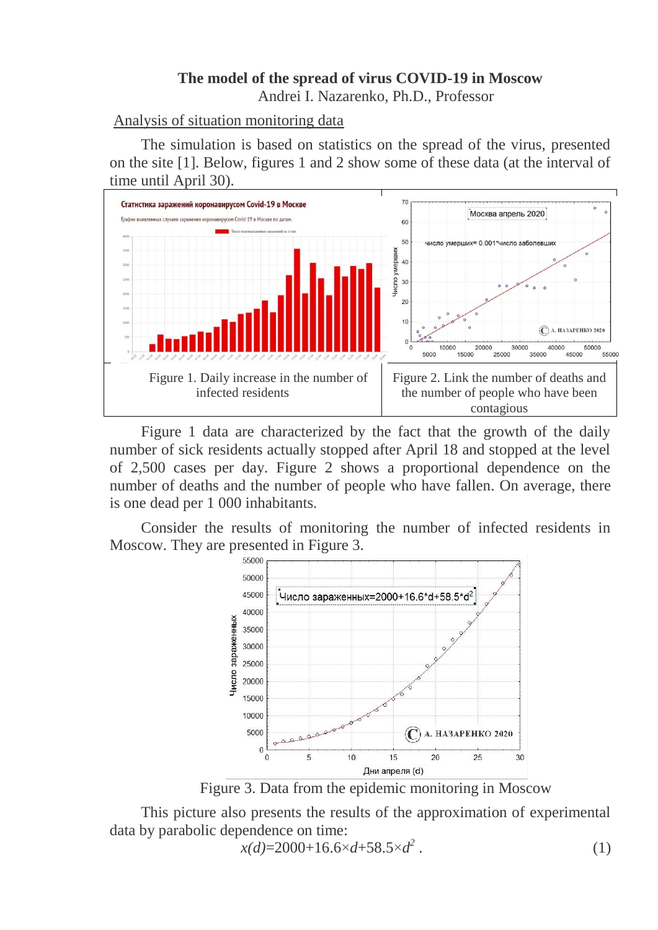### **The model of the spread of virus COVID-19 in Moscow** Andrei I. Nazarenko, Ph.D., Professor

## Analysis of situation monitoring data

The simulation is based on statistics on the spread of the virus, presented on the site [1]. Below, figures 1 and 2 show some of these data (at the interval of time until April 30).



Figure 1 data are characterized by the fact that the growth of the daily number of sick residents actually stopped after April 18 and stopped at the level of 2,500 cases per day. Figure 2 shows a proportional dependence on the number of deaths and the number of people who have fallen. On average, there is one dead per 1 000 inhabitants*.*

Consider the results of monitoring the number of infected residents in Moscow. They are presented in Figure 3.



Figure 3. Data from the epidemic monitoring in Moscow

This picture also presents the results of the approximation of experimental data by parabolic dependence on time:

$$
x(d) = 2000 + 16.6 \times d + 58.5 \times d^2 \tag{1}
$$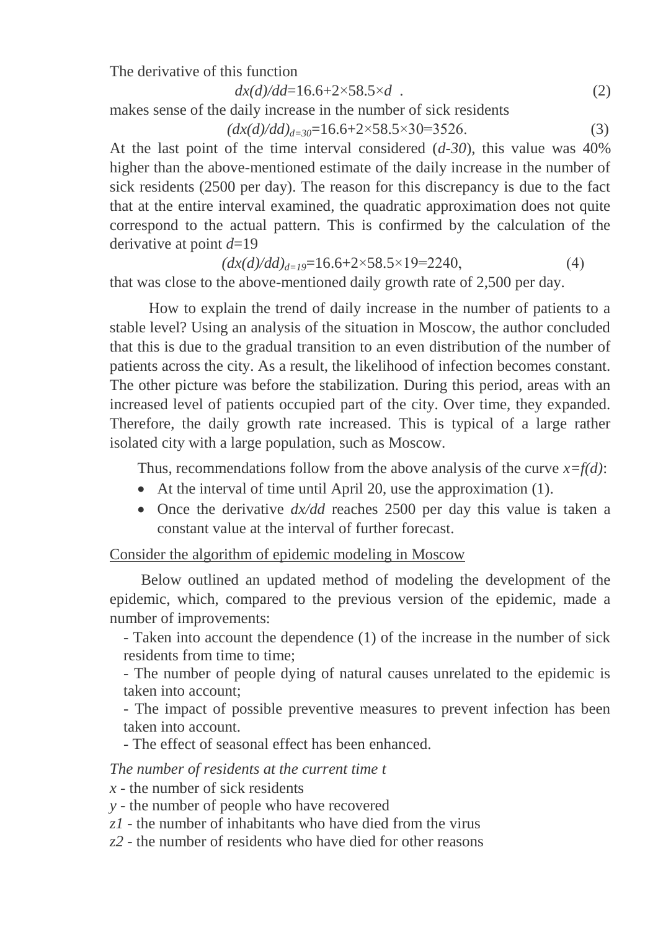The derivative of this function

$$
dx(d)/dd=16.6+2\times58.5\times d
$$
 (2)

makes sense of the daily increase in the number of sick residents

$$
(dx(d)/dd)_{d=30} = 16.6 + 2 \times 58.5 \times 30 = 3526. \tag{3}
$$

At the last point of the time interval considered (*d-30*), this value was 40% higher than the above-mentioned estimate of the daily increase in the number of sick residents (2500 per day). The reason for this discrepancy is due to the fact that at the entire interval examined, the quadratic approximation does not quite correspond to the actual pattern. This is confirmed by the calculation of the derivative at point *d*=19

$$
(dx(d)/dd)_{d=19} = 16.6 + 2 \times 58.5 \times 19 = 2240,\tag{4}
$$

that was close to the above-mentioned daily growth rate of 2,500 per day.

How to explain the trend of daily increase in the number of patients to a stable level? Using an analysis of the situation in Moscow, the author concluded that this is due to the gradual transition to an even distribution of the number of patients across the city. As a result, the likelihood of infection becomes constant. The other picture was before the stabilization. During this period, areas with an increased level of patients occupied part of the city. Over time, they expanded. Therefore, the daily growth rate increased. This is typical of a large rather isolated city with a large population, such as Moscow.

Thus, recommendations follow from the above analysis of the curve  $x=f(d)$ :

- At the interval of time until April 20, use the approximation (1).
- Once the derivative  $dx/dd$  reaches 2500 per day this value is taken a constant value at the interval of further forecast.

### Consider the algorithm of epidemic modeling in Moscow

Below outlined an updated method of modeling the development of the epidemic, which, compared to the previous version of the epidemic, made a number of improvements:

- Taken into account the dependence (1) of the increase in the number of sick residents from time to time;

- The number of people dying of natural causes unrelated to the epidemic is taken into account;

- The impact of possible preventive measures to prevent infection has been taken into account.

- The effect of seasonal effect has been enhanced.

*The number of residents at the current time t* 

*x* - the number of sick residents

- *y* the number of people who have recovered
- *z1* the number of inhabitants who have died from the virus
- *z2* the number of residents who have died for other reasons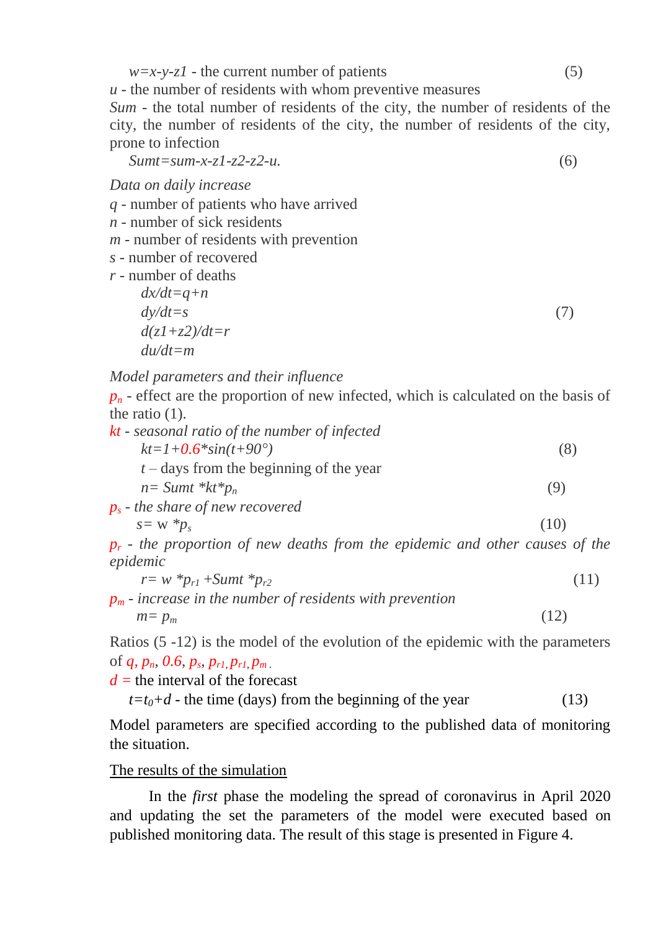$w=x-y-zI$  - the current number of patients (5)

*u* - the number of residents with whom preventive measures

*Sum* - the total number of residents of the city, the number of residents of the city, the number of residents of the city, the number of residents of the city, prone to infection

 *Sumt=sum-x-z1-z2-z2-u.* (6)

*Data on daily increase*

*q* - number of patients who have arrived

*n* - number of sick residents

*m* - number of residents with prevention

*s* - number of recovered

*r* - number of deaths

$$
dx/dt = q+n
$$
  
\n
$$
dy/dt = s
$$
  
\n
$$
d(z1+z2)/dt = r
$$
  
\n
$$
du/dt = m
$$
\n(7)

*Model parameters and their influence*

 $p_n$  *-* effect are the proportion of new infected, which is calculated on the basis of the ratio (1).

| kt - seasonal ratio of the number of infected |                     |
|-----------------------------------------------|---------------------|
| $kt = 1 + 0.6 \cdot \sin(t + 90^{\circ})$     | Ö.                  |
| $t$ – days from the beginning of the year     |                     |
| $n = Sumt * kt * p_n$                         | (9)                 |
| $p_s$ - the share of new recovered            |                     |
| $s = w * p_s$                                 | $\left( 10 \right)$ |

*p<sup>r</sup> - the proportion of new deaths from the epidemic and other causes of the epidemic* 

 $r = w^*p_{r1} + Sumt^*p_{r2}$ (11)

*p<sup>m</sup> - increase in the number of residents with prevention*  $m = p_m$  $(12)$ 

Ratios (5 -12) is the model of the evolution of the epidemic with the parameters of *q, pn*, *0.6*, *p<sup>s</sup>* , *pr1, pr1, p<sup>m</sup> .*

 $d =$  the interval of the forecast

 $t=t_0+d$  - the time (days) from the beginning of the year (13)

Model parameters are specified according to the published data of monitoring the situation.

# The results of the simulation

In the *first* phase the modeling the spread of coronavirus in April 2020 and updating the set the parameters of the model were executed based on published monitoring data. The result of this stage is presented in Figure 4.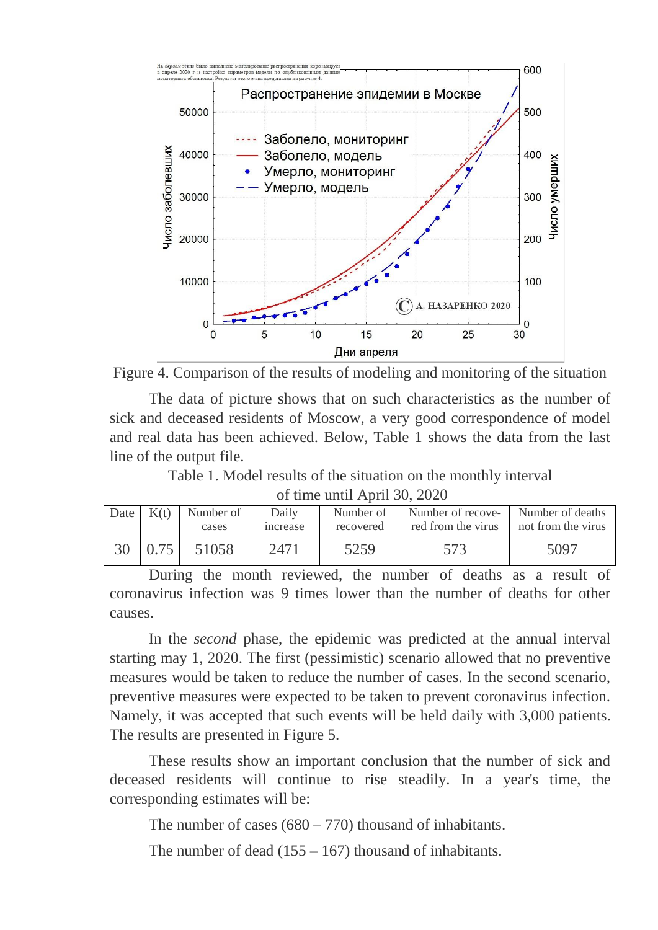



The data of picture shows that on such characteristics as the number of sick and deceased residents of Moscow, a very good correspondence of model and real data has been achieved. Below, Table 1 shows the data from the last line of the output file.

Table 1. Model results of the situation on the monthly interval

of time until April 30, 2020

| Date | K(t) | Number of | Daily          | Number of | Number of recove- Number of deaths |                    |  |
|------|------|-----------|----------------|-----------|------------------------------------|--------------------|--|
|      |      | cases     | <i>ncrease</i> | recovered | red from the virus                 | not from the virus |  |
| 30   | 0.75 | 51058     | 2471           | 5259      | 573                                | 5097               |  |

During the month reviewed, the number of deaths as a result of coronavirus infection was 9 times lower than the number of deaths for other causes.

In the *second* phase, the epidemic was predicted at the annual interval starting may 1, 2020. The first (pessimistic) scenario allowed that no preventive measures would be taken to reduce the number of cases. In the second scenario, preventive measures were expected to be taken to prevent coronavirus infection. Namely, it was accepted that such events will be held daily with 3,000 patients. The results are presented in Figure 5.

These results show an important conclusion that the number of sick and deceased residents will continue to rise steadily. In a year's time, the corresponding estimates will be:

The number of cases  $(680 – 770)$  thousand of inhabitants.

The number of dead  $(155 - 167)$  thousand of inhabitants.